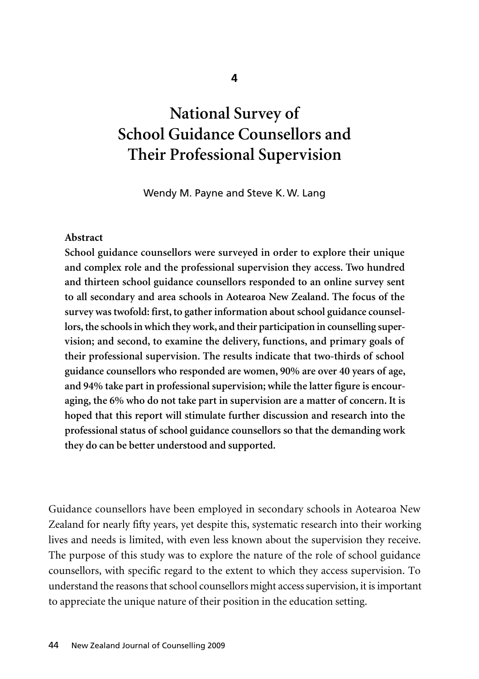# **National Survey of School Guidance Counsellors and Their Professional Supervision**

Wendy M. Payne and Steve K. W. Lang

#### **Abstract**

**School guidance counsellors were surveyed in order to explore their unique and complex role and the professional supervision they access. Two hundred and thirteen school guidance counsellors responded to an online survey sent to all secondary and area schools in Aotearoa New Zealand. The focus of the survey was twofold: first, to gather information about school guidance counsellors, the schools in which they work, and their participation in counselling super vision; and second, to examine the delivery, functions, and primary goals of their professional supervision. The results indicate that two-thirds of school guidance counsellors who responded are women, 90% are over 40 years of age, and 94% take part in professional supervision; while the latter figure is encouraging, the 6% who do not take part in supervision are a matter of concern. It is hoped that this report will stimulate further discussion and research into the professional status of school guidance counsellors so that the demanding work they do can be better understood and supported.**

Guidance counsellors have been employed in secondary schools in Aotearoa New Zealand for nearly fifty years, yet despite this, systematic research into their working lives and needs is limited, with even less known about the supervision they receive. The purpose of this study was to explore the nature of the role of school guidance counsellors, with specific regard to the extent to which they access supervision. To under stand the reasons that school counsellors might access supervision, it is important to appreciate the unique nature of their position in the education setting.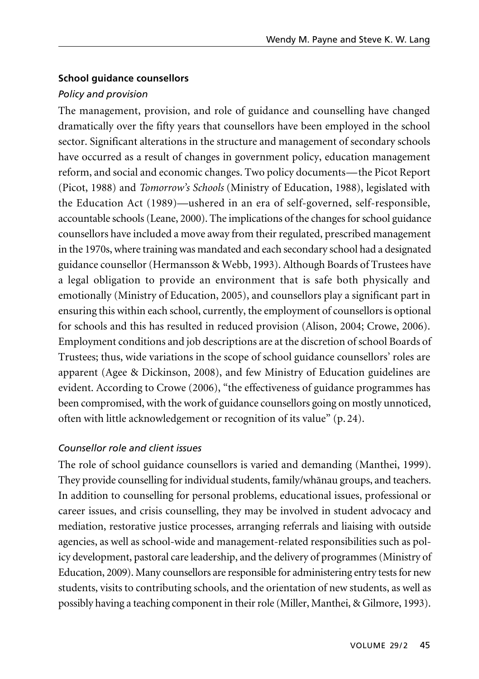## **School guidance counsellors**

# *Policy and provision*

The management, provision, and role of guidance and counselling have changed dramatically over the fifty years that counsellors have been employed in the school sector. Significant alterations in the structure and management of secondary schools have occurred as a result of changes in government policy, education management reform, and social and economic changes. Two policy documents—the Picot Report (Picot, 1988) and *Tomorrow's Schools* (Ministry of Education, 1988), legislated with the Education Act (1989)—ushered in an era of self-governed, self-responsible, accountable schools (Leane, 2000). The implications of the changes for school guidance counsellors have included a move away from their regulated, prescribed management in the 1970s, where training was mandated and each secondary school had a designated guidance counsellor (Hermansson & Webb, 1993). Although Boards of Trustees have a legal obligation to provide an environment that is safe both physically and emotionally (Ministry of Education, 2005), and counsellors play a significant part in ensuring this within each school, currently, the employment of counsellors is optional for schools and this has resulted in reduced provision (Alison, 2004; Crowe, 2006). Employment conditions and job descriptions are at the discretion of school Boards of Trustees; thus, wide variations in the scope of school guidance counsellors' roles are apparent (Agee & Dickinson, 2008), and few Ministry of Education guidelines are evident. According to Crowe (2006), "the effectiveness of guidance programmes has been compromised, with the work of guidance counsellors going on mostly unnoticed, often with little acknowledgement or recognition of its value" (p. 24).

# *Counsellor role and client issues*

The role of school guidance counsellors is varied and demanding (Manthei, 1999). They provide counselling for individual students, family/whänau groups, and teachers. In addition to counselling for personal problems, educational issues, professional or career issues, and crisis counselling, they may be involved in student advocacy and mediation, restorative justice processes, arranging referrals and liaising with outside agencies, as well as school-wide and management-related responsibilities such as policy development, pastoral care leadership, and the delivery of programmes (Ministry of Education, 2009). Many counsellors are responsible for administering entry tests for new students, visits to contributing schools, and the orientation of new students, as well as possibly having a teaching component in their role (Miller, Manthei, & Gilmore, 1993).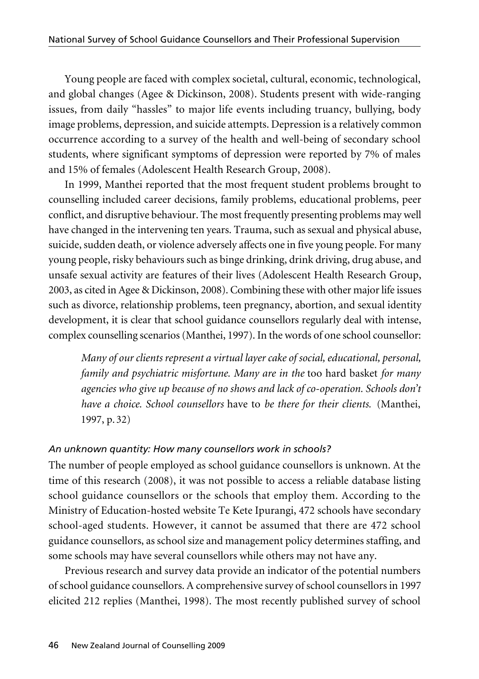Young people are faced with complex societal, cultural, economic, technological, and global changes (Agee & Dickinson, 2008). Students present with wide-ranging issues, from daily "hassles" to major life events including truancy, bullying, body image problems, depression, and suicide attempts. Depression is a relatively common occurrence according to a survey of the health and well-being of secondary school students, where significant symptoms of depression were reported by 7% of males and 15% of females (Adolescent Health Research Group, 2008).

In 1999, Manthei reported that the most frequent student problems brought to counselling included career decisions, family problems, educational problems, peer conflict, and disruptive behaviour. The most frequently presenting problems may well have changed in the intervening ten years. Trauma, such as sexual and physical abuse, suicide, sudden death, or violence adversely affects one in five young people. For many young people, risky behaviours such as binge drinking, drink driving, drug abuse, and unsafe sexual activity are features of their lives (Adolescent Health Research Group, 2003, as cited in Agee & Dickinson, 2008). Combining these with other major life issues such as divorce, relationship problems, teen pregnancy, abortion, and sexual identity development, it is clear that school guidance counsellors regularly deal with intense, complex counselling scenarios (Manthei, 1997). In the words of one school counsellor:

*Many of our clients represent a virtual layer cake of social, educational, personal, family and psychiatric misfortune. Many are in the* too hard basket *for many agencies who give up because of no shows and lack of co-operation. Schools don't have a choice. School counsellors* have to *be there for their clients.* (Manthei, 1997, p. 32)

## *An unknown quantity: How many counsellors work in schools?*

The number of people employed as school guidance counsellors is unknown. At the time of this research (2008), it was not possible to access a reliable database listing school guidance counsellors or the schools that employ them. According to the Ministry of Education-hosted website Te Kete Ipurangi, 472 schools have secondary school-aged students. However, it cannot be assumed that there are 472 school guidance counsellors, as school size and management policy determines staffing, and some schools may have several counsellors while others may not have any.

Previous research and survey data provide an indicator of the potential numbers of school guidance counsellors. A comprehensive survey of school counsellors in 1997 elicited 212 replies (Manthei, 1998). The most recently published survey of school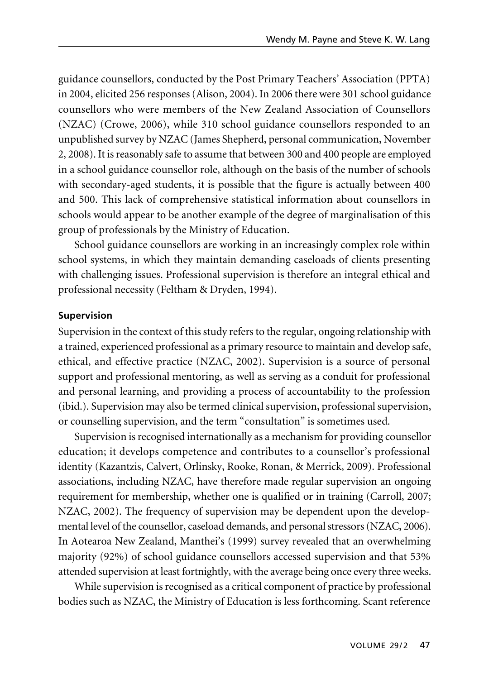guidance counsellors, conducted by the Post Primary Teachers' Association (PPTA) in 2004, elicited 256 responses (Alison, 2004). In 2006 there were 301 school guidance counsellors who were members of the New Zealand Association of Counsellors (NZAC) (Crowe, 2006), while 310 school guidance counsellors responded to an unpublished survey by NZAC (James Shepherd, personal communication, November 2, 2008). It is reasonably safe to assume that between 300 and 400 people are employed in a school guidance counsellor role, although on the basis of the number of schools with secondary-aged students, it is possible that the figure is actually between 400 and 500. This lack of comprehensive statistical information about counsellors in schools would appear to be another example of the degree of marginalisation of this group of professionals by the Ministry of Education.

School guidance counsellors are working in an increasingly complex role within school systems, in which they maintain demanding caseloads of clients presenting with challenging issues. Professional supervision is therefore an integral ethical and professional necessity (Feltham & Dryden, 1994).

### **Supervision**

Supervision in the context of this study refers to the regular, ongoing relationship with a trained, experienced professional as a primary resource to maintain and develop safe, ethical, and effective practice (NZAC, 2002). Supervision is a source of personal support and professional mentoring, as well as serving as a conduit for professional and personal learning, and providing a process of accountability to the profession (ibid.). Supervision may also be termed clinical supervision, professional supervision, or counselling supervision, and the term "consultation" is sometimes used.

Supervision is recognised internationally as a mechanism for providing counsellor education; it develops competence and contributes to a counsellor's professional identity (Kazantzis, Calvert, Orlinsky, Rooke, Ronan, & Merrick, 2009). Professional associations, including NZAC, have therefore made regular supervision an ongoing requirement for membership, whether one is qualified or in training (Carroll, 2007; NZAC, 2002). The frequency of supervision may be dependent upon the developmental level of the counsellor, caseload demands, and personal stressors (NZAC, 2006). In Aotearoa New Zealand, Manthei's (1999) survey revealed that an overwhelming majority (92%) of school guidance counsellors accessed supervision and that 53% attended supervision at least fortnightly, with the average being once every three weeks.

While supervision is recognised as a critical component of practice by professional bodies such as NZAC, the Ministry of Education is less forthcoming. Scant reference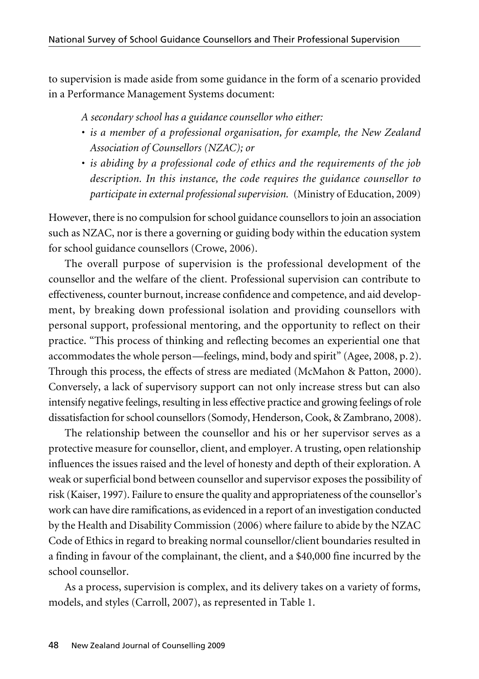to supervision is made aside from some guidance in the form of a scenario provided in a Performance Management Systems document:

*A secondary school has a guidance counsellor who either:* 

- *is a member of a professional organisation, for example, the New Zealand Association of Counsellors (NZAC); or*
- *is abiding by a professional code of ethics and the requirements of the job description. In this instance, the code requires the guidance counsellor to participate in external professional supervision.* (Ministry of Education, 2009)

However, there is no compulsion for school guidance counsellors to join an association such as NZAC, nor is there a governing or guiding body within the education system for school guidance counsellors (Crowe, 2006).

The overall purpose of supervision is the professional development of the counsellor and the welfare of the client. Professional supervision can contribute to effectiveness, counter burnout, increase confidence and competence, and aid development, by breaking down professional isolation and providing counsellors with personal support, professional mentoring, and the opportunity to reflect on their practice. "This process of thinking and reflecting becomes an experiential one that accommodates the whole person—feelings, mind, body and spirit" (Agee, 2008, p. 2). Through this process, the effects of stress are mediated (McMahon & Patton, 2000). Conversely, a lack of supervisory support can not only increase stress but can also intensify negative feelings, resulting in less effective practice and growing feelings of role dissatisfaction for school counsellors (Somody, Henderson, Cook, & Zambrano, 2008).

The relationship between the counsellor and his or her supervisor serves as a protective measure for counsellor, client, and employer. A trusting, open relationship influences the issues raised and the level of honesty and depth of their exploration. A weak or superficial bond between counsellor and supervisor exposes the possibility of risk (Kaiser, 1997). Failure to ensure the quality and appropriateness of the counsellor's work can have dire ramifications, as evidenced in a report of an investigation conducted by the Health and Disability Commission (2006) where failure to abide by the NZAC Code of Ethics in regard to breaking normal counsellor/client boundaries resulted in a finding in favour of the complainant, the client, and a \$40,000 fine incurred by the school counsellor.

As a process, supervision is complex, and its delivery takes on a variety of forms, models, and styles (Carroll, 2007), as represented in Table 1.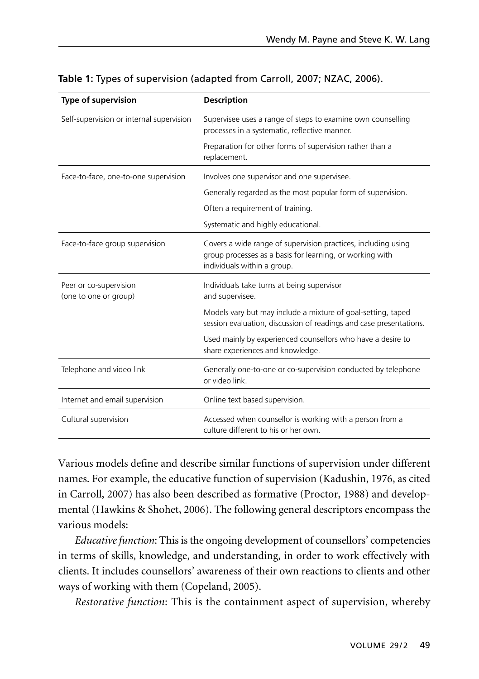| Type of supervision                             | <b>Description</b>                                                                                                                                       |  |
|-------------------------------------------------|----------------------------------------------------------------------------------------------------------------------------------------------------------|--|
| Self-supervision or internal supervision        | Supervisee uses a range of steps to examine own counselling<br>processes in a systematic, reflective manner.                                             |  |
|                                                 | Preparation for other forms of supervision rather than a<br>replacement.                                                                                 |  |
| Face-to-face, one-to-one supervision            | Involves one supervisor and one supervisee.                                                                                                              |  |
|                                                 | Generally regarded as the most popular form of supervision.                                                                                              |  |
|                                                 | Often a requirement of training.                                                                                                                         |  |
|                                                 | Systematic and highly educational.                                                                                                                       |  |
| Face-to-face group supervision                  | Covers a wide range of supervision practices, including using<br>group processes as a basis for learning, or working with<br>individuals within a group. |  |
| Peer or co-supervision<br>(one to one or group) | Individuals take turns at being supervisor<br>and supervisee.                                                                                            |  |
|                                                 | Models vary but may include a mixture of goal-setting, taped<br>session evaluation, discussion of readings and case presentations.                       |  |
|                                                 | Used mainly by experienced counsellors who have a desire to<br>share experiences and knowledge.                                                          |  |
| Telephone and video link                        | Generally one-to-one or co-supervision conducted by telephone<br>or video link.                                                                          |  |
| Internet and email supervision                  | Online text based supervision.                                                                                                                           |  |
| Cultural supervision                            | Accessed when counsellor is working with a person from a<br>culture different to his or her own.                                                         |  |

| Table 1: Types of supervision (adapted from Carroll, 2007; NZAC, 2006). |  |  |
|-------------------------------------------------------------------------|--|--|
|-------------------------------------------------------------------------|--|--|

Various models define and describe similar functions of supervision under different names. For example, the educative function of supervision (Kadushin, 1976, as cited in Carroll, 2007) has also been described as formative (Proctor, 1988) and developmental (Hawkins & Shohet, 2006). The following general descriptors encompass the various models:

*Educative function*: This is the ongoing development of counsellors' competencies in terms of skills, knowledge, and understanding, in order to work effectively with clients. It includes counsellors' awareness of their own reactions to clients and other ways of working with them (Copeland, 2005).

*Restorative function*: This is the containment aspect of supervision, whereby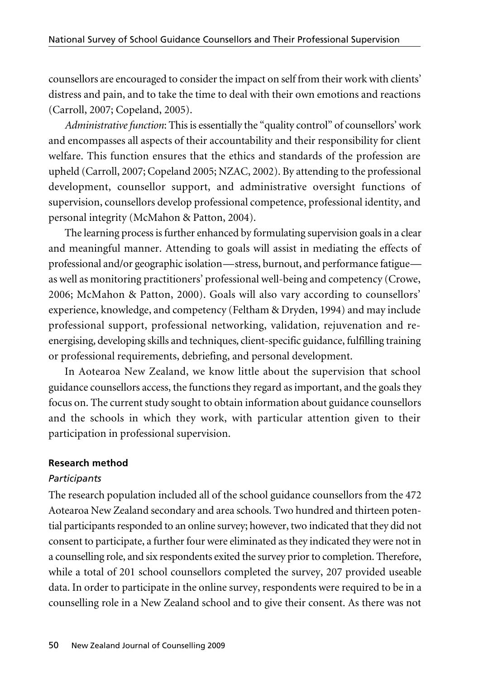counsellors are encouraged to consider the impact on self from their work with clients' distress and pain, and to take the time to deal with their own emotions and reactions (Carroll, 2007; Copeland, 2005).

*Administrative function*: This is essentially the "quality control" of counsellors' work and encompasses all aspects of their accountability and their responsibility for client welfare. This function ensures that the ethics and standards of the profession are upheld (Carroll, 2007; Copeland 2005; NZAC, 2002). By attending to the professional development, counsellor support, and administrative oversight functions of supervision, counsellors develop professional competence, professional identity, and personal integrity (McMahon & Patton, 2004).

The learning process is further enhanced by formulating supervision goals in a clear and meaningful manner. Attending to goals will assist in mediating the effects of professional and/or geographic isolation—stress, burnout, and performance fatigue as well as monitoring practitioners' professional well-being and competency (Crowe, 2006; McMahon & Patton, 2000). Goals will also vary according to counsellors' experience, knowledge, and competency (Feltham & Dryden, 1994) and may include professional support, professional networking, validation*,* rejuvenation and reenergising*,* developing skills and techniques*,* client-specific guidance, fulfilling training or professional requirements, debriefing, and personal development.

In Aotearoa New Zealand, we know little about the supervision that school guidance counsellors access, the functions they regard as important, and the goals they focus on. The current study sought to obtain information about guidance counsellors and the schools in which they work, with particular attention given to their participation in professional supervision.

### **Research method**

### *Participants*

The research population included all of the school guidance counsellors from the 472 Aotearoa New Zealand secondary and area schools. Two hundred and thirteen potential participants responded to an online survey; however, two indicated that they did not consent to participate, a further four were eliminated as they indicated they were not in a counselling role, and six respondents exited the survey prior to completion. Therefore, while a total of 201 school counsellors completed the survey, 207 provided useable data. In order to participate in the online survey, respondents were required to be in a counselling role in a New Zealand school and to give their consent. As there was not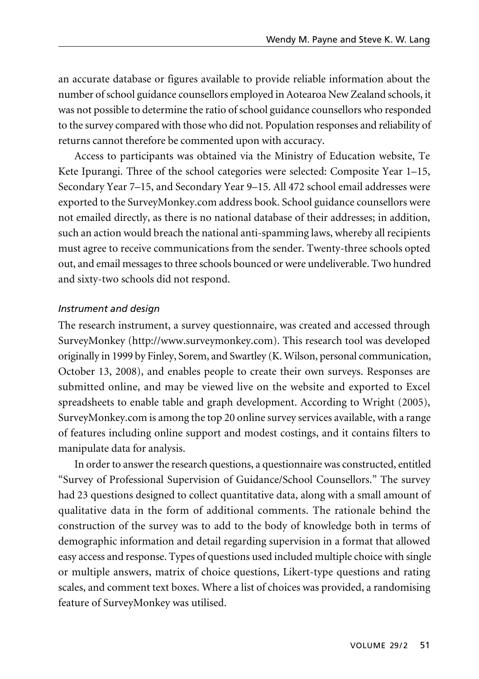an accurate database or figures available to provide reliable information about the number of school guidance counsellors employed in Aotearoa New Zealand schools, it was not possible to determine the ratio of school guidance counsellors who responded to the survey compared with those who did not. Population responses and reliability of returns cannot therefore be commented upon with accuracy.

Access to participants was obtained via the Ministry of Education website, Te Kete Ipurangi. Three of the school categories were selected: Composite Year 1–15, Secondary Year 7–15, and Secondary Year 9–15. All 472 school email addresses were exported to the SurveyMonkey.com address book. School guidance counsellors were not emailed directly, as there is no national database of their addresses; in addition, such an action would breach the national anti-spamming laws, whereby all recipients must agree to receive communications from the sender. Twenty-three schools opted out, and email messages to three schools bounced or were undeliverable. Two hundred and sixty-two schools did not respond.

## *Instrument and design*

The research instrument, a survey questionnaire, was created and accessed through SurveyMonkey (http://www.surveymonkey.com). This research tool was developed originally in 1999 by Finley, Sorem, and Swartley (K. Wilson, personal communication, October 13, 2008), and enables people to create their own surveys. Responses are submitted online, and may be viewed live on the website and exported to Excel spreadsheets to enable table and graph development. According to Wright (2005), SurveyMonkey.com is among the top 20 online survey services available, with a range of features including online support and modest costings, and it contains filters to manipulate data for analysis.

In order to answer the research questions, a questionnaire was constructed, entitled "Survey of Professional Supervision of Guidance/School Counsellors." The survey had 23 questions designed to collect quantitative data, along with a small amount of qualitative data in the form of additional comments. The rationale behind the construction of the survey was to add to the body of knowledge both in terms of demographic information and detail regarding supervision in a format that allowed easy access and response. Types of questions used included multiple choice with single or multiple answers, matrix of choice questions, Likert-type questions and rating scales, and comment text boxes. Where a list of choices was provided, a randomising feature of SurveyMonkey was utilised.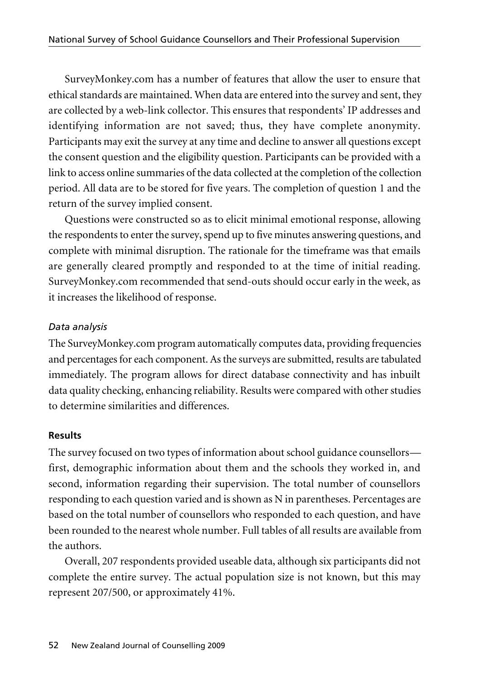SurveyMonkey.com has a number of features that allow the user to ensure that ethical standards are maintained. When data are entered into the survey and sent, they are collected by a web-link collector. This ensures that respondents' IP addresses and identifying information are not saved; thus, they have complete anonymity. Participants may exit the survey at any time and decline to answer all questions except the consent question and the eligibility question. Participants can be provided with a link to access online summaries of the data collected at the completion of the collection period. All data are to be stored for five years. The completion of question 1 and the return of the survey implied consent.

Questions were constructed so as to elicit minimal emotional response, allowing the respondents to enter the survey, spend up to five minutes answering questions, and complete with minimal disruption. The rationale for the timeframe was that emails are generally cleared promptly and responded to at the time of initial reading. SurveyMonkey.com recommended that send-outs should occur early in the week, as it increases the likelihood of response.

## *Data analysis*

The SurveyMonkey.com program automatically computes data, providing frequencies and percentages for each component. As the surveys are submitted, results are tabulated immediately. The program allows for direct database connectivity and has inbuilt data quality checking, enhancing reliability. Results were compared with other studies to determine similarities and differences.

### **Results**

The survey focused on two types of information about school guidance counsellors first, demographic information about them and the schools they worked in, and second, information regarding their supervision. The total number of counsellors responding to each question varied and is shown as N in parentheses. Percentages are based on the total number of counsellors who responded to each question, and have been rounded to the nearest whole number. Full tables of all results are available from the authors.

Overall, 207 respondents provided useable data, although six participants did not complete the entire survey. The actual population size is not known, but this may represent 207/500, or approximately 41%.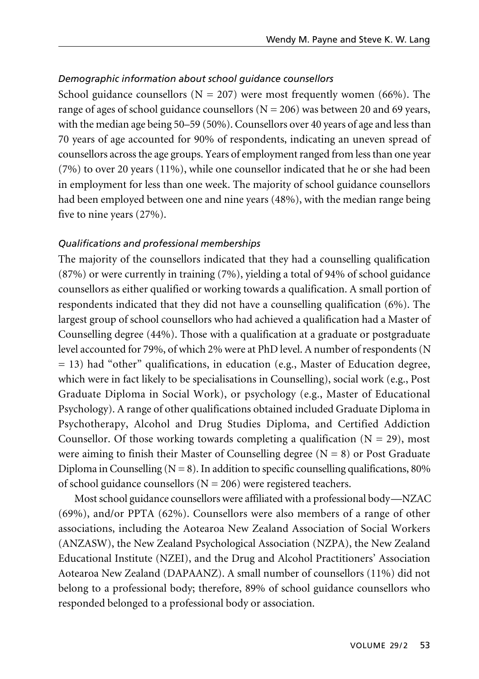## *Demographic information about school guidance counsellors*

School guidance counsellors ( $N = 207$ ) were most frequently women (66%). The range of ages of school guidance counsellors ( $N = 206$ ) was between 20 and 69 years, with the median age being 50–59 (50%). Counsellors over 40 years of age and less than 70 years of age accounted for 90% of respondents, indicating an uneven spread of counsellors across the age groups. Years of employment ranged from less than one year (7%) to over 20 years (11%), while one counsellor indicated that he or she had been in employment for less than one week. The majority of school guidance counsellors had been employed between one and nine years (48%), with the median range being five to nine years (27%).

## *Qualifications and professional memberships*

The majority of the counsellors indicated that they had a counselling qualification (87%) or were currently in training (7%), yielding a total of 94% of school guidance counsellors as either qualified or working towards a qualification. A small portion of respondents indicated that they did not have a counselling qualification (6%). The largest group of school counsellors who had achieved a qualification had a Master of Counselling degree (44%). Those with a qualification at a graduate or postgraduate level accounted for 79%, of which 2% were at PhD level. A number of respondents (N  $= 13$ ) had "other" qualifications, in education (e.g., Master of Education degree, which were in fact likely to be specialisations in Counselling), social work (e.g., Post Graduate Diploma in Social Work), or psychology (e.g., Master of Educational Psychology). A range of other qualifications obtained included Graduate Diploma in Psychotherapy, Alcohol and Drug Studies Diploma, and Certified Addiction Counsellor. Of those working towards completing a qualification  $(N = 29)$ , most were aiming to finish their Master of Counselling degree  $(N = 8)$  or Post Graduate Diploma in Counselling ( $N = 8$ ). In addition to specific counselling qualifications, 80% of school guidance counsellors ( $N = 206$ ) were registered teachers.

Most school guidance counsellors were affiliated with a professional body—NZAC (69%), and/or PPTA (62%). Counsellors were also members of a range of other associations, including the Aotearoa New Zealand Association of Social Workers (ANZASW), the New Zealand Psychological Association (NZPA), the New Zealand Educational Institute (NZEI), and the Drug and Alcohol Practitioners' Association Aotearoa New Zealand (DAPAANZ). A small number of counsellors (11%) did not belong to a professional body; therefore, 89% of school guidance counsellors who responded belonged to a professional body or association.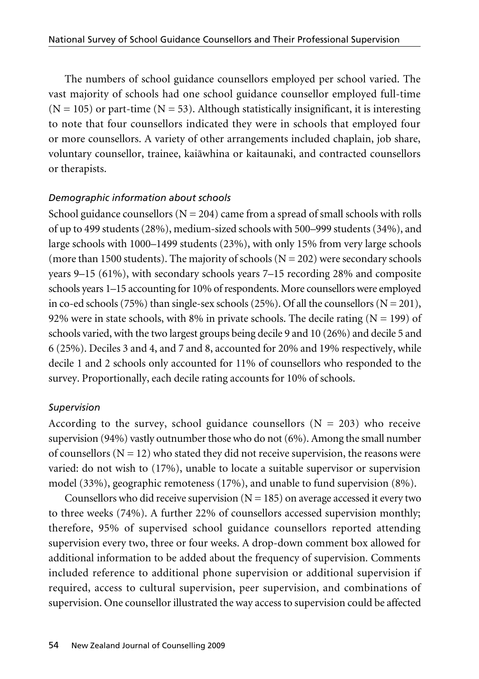The numbers of school guidance counsellors employed per school varied. The vast majority of schools had one school guidance counsellor employed full-time  $(N = 105)$  or part-time  $(N = 53)$ . Although statistically insignificant, it is interesting to note that four counsellors indicated they were in schools that employed four or more counsellors. A variety of other arrangements included chaplain, job share, voluntary counsellor, trainee, kaiäwhina or kaitaunaki, and contracted counsellors or therapists.

## *Demographic information about schools*

School guidance counsellors ( $N = 204$ ) came from a spread of small schools with rolls of up to 499 students (28%), medium-sized schools with 500–999 students (34%), and large schools with 1000–1499 students (23%), with only 15% from very large schools (more than 1500 students). The majority of schools  $(N = 202)$  were secondary schools years 9–15 (61%), with secondary schools years 7–15 recording 28% and composite schools years 1–15 accounting for 10% of respondents. More counsellors were employed in co-ed schools (75%) than single-sex schools (25%). Of all the counsellors ( $N = 201$ ), 92% were in state schools, with 8% in private schools. The decile rating  $(N = 199)$  of schools varied, with the two largest groups being decile 9 and 10 (26%) and decile 5 and 6 (25%). Deciles 3 and 4, and 7 and 8, accounted for 20% and 19% respectively, while decile 1 and 2 schools only accounted for 11% of counsellors who responded to the survey. Proportionally, each decile rating accounts for 10% of schools.

## *Supervision*

According to the survey, school guidance counsellors  $(N = 203)$  who receive supervision (94%) vastly outnumber those who do not (6%). Among the small number of counsellors ( $N = 12$ ) who stated they did not receive supervision, the reasons were varied: do not wish to (17%), unable to locate a suitable supervisor or supervision model (33%), geographic remoteness (17%), and unable to fund supervision (8%).

Counsellors who did receive supervision  $(N = 185)$  on average accessed it every two to three weeks (74%). A further 22% of counsellors accessed supervision monthly; therefore, 95% of supervised school guidance counsellors reported attending supervision every two, three or four weeks. A drop-down comment box allowed for additional information to be added about the frequency of supervision. Comments included reference to additional phone supervision or additional supervision if required, access to cultural supervision, peer supervision, and combinations of supervision. One counsellor illustrated the way access to supervision could be affected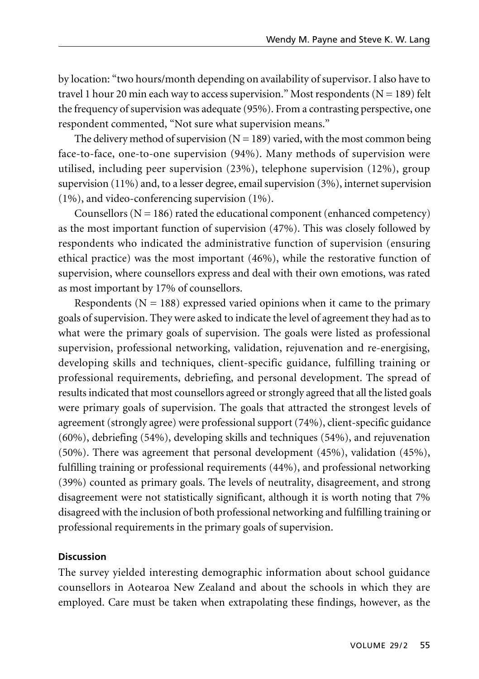by location: "two hours/month depending on availability of supervisor. I also have to travel 1 hour 20 min each way to access supervision." Most respondents  $(N = 189)$  felt the frequency of supervision was adequate (95%). From a contrasting perspective, one respondent commented, "Not sure what supervision means."

The delivery method of supervision  $(N = 189)$  varied, with the most common being face-to-face, one-to-one supervision (94%). Many methods of supervision were utilised, including peer supervision (23%), telephone supervision (12%), group supervision (11%) and, to a lesser degree, email supervision (3%), internet supervision (1%), and video-conferencing supervision (1%).

Counsellors  $(N = 186)$  rated the educational component (enhanced competency) as the most important function of supervision (47%). This was closely followed by respondents who indicated the administrative function of supervision (ensuring ethical practice) was the most important (46%), while the restorative function of supervision, where counsellors express and deal with their own emotions, was rated as most important by 17% of counsellors.

Respondents ( $N = 188$ ) expressed varied opinions when it came to the primary goals of supervision. They were asked to indicate the level of agreement they had as to what were the primary goals of supervision. The goals were listed as professional supervision, professional networking, validation, rejuvenation and re-energising, developing skills and techniques, client-specific guidance, fulfilling training or professional requirements, debriefing, and personal development. The spread of results indicated that most counsellors agreed or strongly agreed that all the listed goals were primary goals of supervision. The goals that attracted the strongest levels of agreement (strongly agree) were professional support (74%), client-specific guidance (60%), debriefing (54%), developing skills and techniques (54%), and rejuvenation (50%). There was agreement that personal development (45%), validation (45%), fulfilling training or professional requirements (44%), and professional networking (39%) counted as primary goals. The levels of neutrality, disagreement, and strong disagreement were not statistically significant, although it is worth noting that 7% disagreed with the inclusion of both professional networking and fulfilling training or professional requirements in the primary goals of supervision.

### **Discussion**

The survey yielded interesting demographic information about school guidance counsellors in Aotearoa New Zealand and about the schools in which they are employed. Care must be taken when extrapolating these findings, however, as the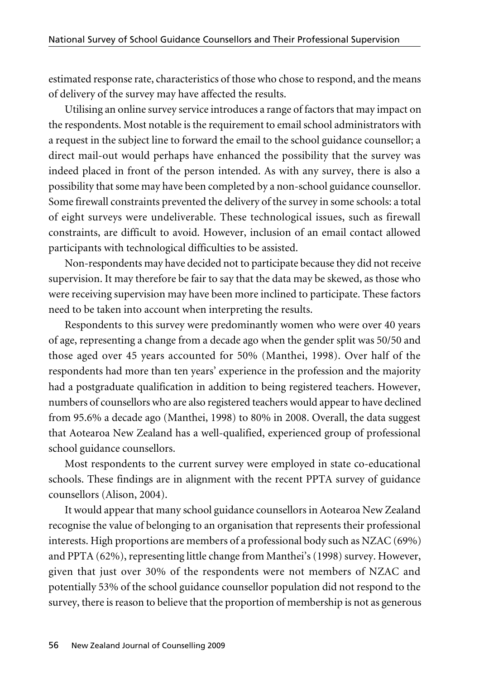estimated response rate, characteristics of those who chose to respond, and the means of delivery of the survey may have affected the results.

Utilising an online survey service introduces a range of factors that may impact on the respondents. Most notable is the requirement to email school administrators with a request in the subject line to forward the email to the school guidance counsellor; a direct mail-out would perhaps have enhanced the possibility that the survey was indeed placed in front of the person intended. As with any survey, there is also a possibility that some may have been completed by a non-school guidance counsellor. Some firewall constraints prevented the delivery of the survey in some schools: a total of eight surveys were undeliverable. These technological issues, such as firewall constraints, are difficult to avoid. However, inclusion of an email contact allowed participants with technological difficulties to be assisted.

Non-respondents may have decided not to participate because they did not receive supervision. It may therefore be fair to say that the data may be skewed, as those who were receiving supervision may have been more inclined to participate. These factors need to be taken into account when interpreting the results.

Respondents to this survey were predominantly women who were over 40 years of age, representing a change from a decade ago when the gender split was 50/50 and those aged over 45 years accounted for 50% (Manthei, 1998). Over half of the respondents had more than ten years' experience in the profession and the majority had a postgraduate qualification in addition to being registered teachers. However, numbers of counsellors who are also registered teachers would appear to have declined from 95.6% a decade ago (Manthei, 1998) to 80% in 2008. Overall, the data suggest that Aotearoa New Zealand has a well-qualified, experienced group of professional school guidance counsellors.

Most respondents to the current survey were employed in state co-educational schools. These findings are in alignment with the recent PPTA survey of guidance counsellors (Alison, 2004).

It would appear that many school guidance counsellors in Aotearoa New Zealand recognise the value of belonging to an organisation that represents their professional interests. High proportions are members of a professional body such as NZAC (69%) and PPTA (62%), representing little change from Manthei's (1998) survey. However, given that just over 30% of the respondents were not members of NZAC and potentially 53% of the school guidance counsellor population did not respond to the survey, there is reason to believe that the proportion of membership is not as generous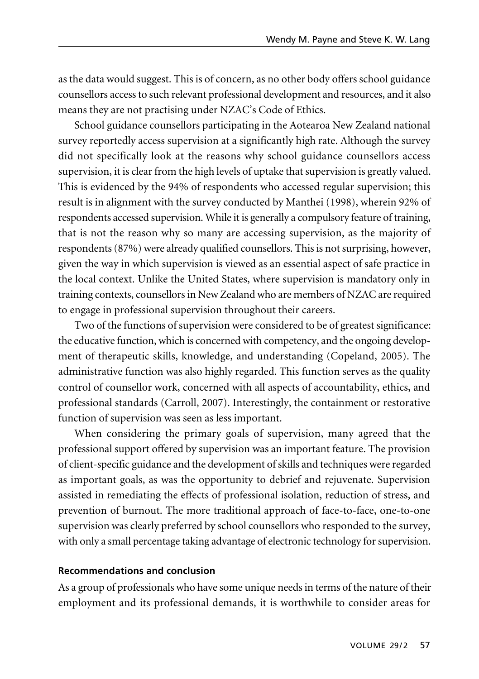as the data would suggest. This is of concern, as no other body offers school guidance counsellors access to such relevant professional development and resources, and it also means they are not practising under NZAC's Code of Ethics.

School guidance counsellors participating in the Aotearoa New Zealand national survey reportedly access supervision at a significantly high rate. Although the survey did not specifically look at the reasons why school guidance counsellors access supervision, it is clear from the high levels of uptake that supervision is greatly valued. This is evidenced by the 94% of respondents who accessed regular supervision; this result is in alignment with the survey conducted by Manthei (1998), wherein 92% of respondents accessed supervision. While it is generally a compulsory feature of training, that is not the reason why so many are accessing supervision, as the majority of respondents (87%) were already qualified counsellors. This is not surprising, however, given the way in which supervision is viewed as an essential aspect of safe practice in the local context. Unlike the United States, where supervision is mandatory only in training contexts, counsellors in New Zealand who are members of NZAC are required to engage in professional supervision throughout their careers.

Two of the functions of supervision were considered to be of greatest significance: the educative function, which is concerned with competency, and the ongoing develop ment of therapeutic skills, knowledge, and understanding (Copeland, 2005). The administrative function was also highly regarded. This function serves as the quality control of counsellor work, concerned with all aspects of accountability, ethics, and professional standards (Carroll, 2007). Interestingly, the containment or restorative function of supervision was seen as less important.

When considering the primary goals of supervision, many agreed that the professional support offered by supervision was an important feature. The provision of client-specific guidance and the development of skills and techniques were regarded as important goals, as was the opportunity to debrief and rejuvenate. Supervision assisted in remediating the effects of professional isolation, reduction of stress, and prevention of burnout. The more traditional approach of face-to-face, one-to-one supervision was clearly preferred by school counsellors who responded to the survey, with only a small percentage taking advantage of electronic technology for supervision.

#### **Recommendations and conclusion**

As a group of professionals who have some unique needs in terms of the nature of their employment and its professional demands, it is worthwhile to consider areas for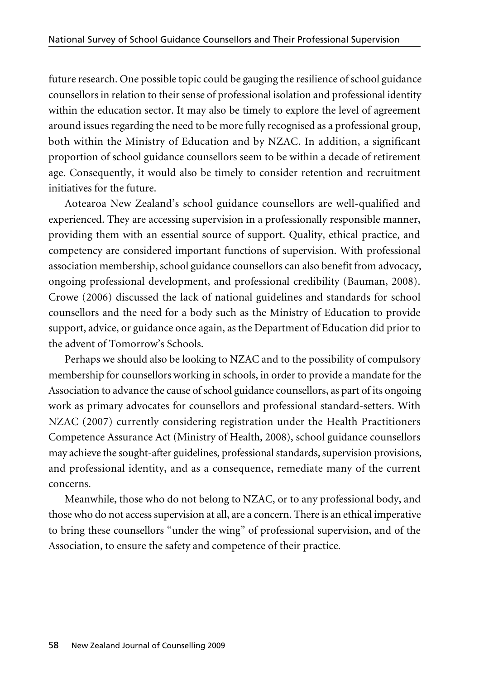future research. One possible topic could be gauging the resilience of school guidance counsellors in relation to their sense of professional isolation and professional identity within the education sector. It may also be timely to explore the level of agreement around issues regarding the need to be more fully recognised as a professional group, both within the Ministry of Education and by NZAC. In addition, a significant proportion of school guidance counsellors seem to be within a decade of retirement age. Consequently, it would also be timely to consider retention and recruitment initiatives for the future.

Aotearoa New Zealand's school guidance counsellors are well-qualified and experienced. They are accessing supervision in a professionally responsible manner, providing them with an essential source of support. Quality, ethical practice, and competency are considered important functions of supervision. With professional association membership, school guidance counsellors can also benefit from advocacy, ongoing professional development, and professional credibility (Bauman, 2008). Crowe (2006) discussed the lack of national guidelines and standards for school counsellors and the need for a body such as the Ministry of Education to provide support, advice, or guidance once again, as the Department of Education did prior to the advent of Tomorrow's Schools.

Perhaps we should also be looking to NZAC and to the possibility of compulsory membership for counsellors working in schools, in order to provide a mandate for the Association to advance the cause of school guidance counsellors, as part of its ongoing work as primary advocates for counsellors and professional standard-setters. With NZAC (2007) currently considering registration under the Health Practitioners Competence Assurance Act (Ministry of Health, 2008), school guidance counsellors may achieve the sought-after guidelines, professional standards, supervision provisions, and professional identity, and as a consequence, remediate many of the current concerns.

Meanwhile, those who do not belong to NZAC, or to any professional body, and those who do not access supervision at all, are a concern. There is an ethical imperative to bring these counsellors "under the wing" of professional supervision, and of the Association, to ensure the safety and competence of their practice.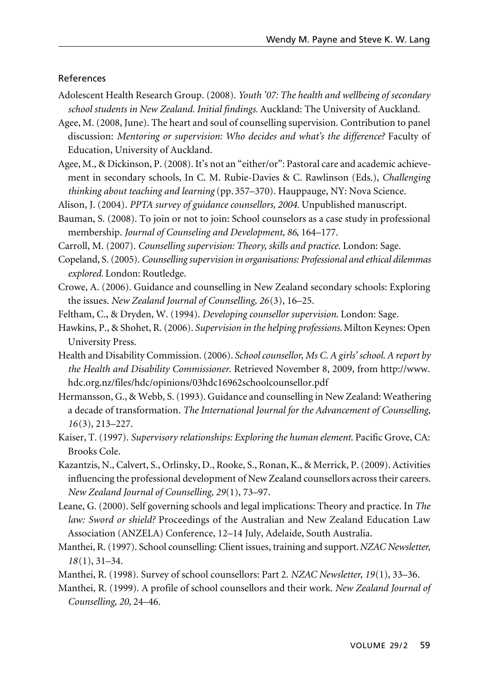#### References

- Adolescent Health Research Group. (2008). *Youth '07: The health and wellbeing of secondary school students in New Zealand. Initial findings.* Auckland: The University of Auckland.
- Agee, M. (2008, June). The heart and soul of counselling supervision. Contribution to panel discussion: *Mentoring or supervision: Who decides and what's the difference?* Faculty of Education, University of Auckland.
- Agee, M., & Dickinson, P. (2008). It's not an "either/or": Pastoral care and academic achievement in secondary schools, In C. M. Rubie-Davies & C. Rawlinson (Eds.), *Challenging thinking about teaching and learning* (pp. 357–370). Hauppauge, NY: Nova Science.
- Alison, J. (2004). *PPTA survey of guidance counsellors, 2004.* Unpublished manuscript.
- Bauman, S. (2008). To join or not to join: School counselors as a case study in professional membership. *Journal of Counseling and Development, 86*, 164–177.

Carroll, M. (2007). *Counselling supervision: Theory, skills and practice*. London: Sage.

- Copeland, S. (2005). *Counselling supervision in organisations: Professional and ethical dilemmas explored.* London: Routledge.
- Crowe, A. (2006). Guidance and counselling in New Zealand secondary schools: Exploring the issues. *New Zealand Journal of Counselling, 26*(3), 16–25.
- Feltham, C., & Dryden, W. (1994). *Developing counsellor supervision*. London: Sage.
- Hawkins, P., & Shohet, R. (2006). *Supervision in the helping professions.* Milton Keynes: Open University Press.
- Health and Disability Commission. (2006). *School counsellor, Ms C. A girls' school. A report by the Health and Disability Commissioner*. Retrieved November 8, 2009, from http://www. hdc.org.nz/files/hdc/opinions/03hdc16962schoolcounsellor.pdf
- Hermansson, G., & Webb, S. (1993). Guidance and counselling in New Zealand: Weathering a decade of transformation. *The International Journal for the Advancement of Counselling, 16*(3), 213–227.
- Kaiser, T. (1997). *Supervisory relationships: Exploring the human element*. Pacific Grove, CA: Brooks Cole.
- Kazantzis, N., Calvert, S., Orlinsky, D., Rooke, S., Ronan, K., & Merrick, P. (2009). Activities influencing the professional development of New Zealand counsellors across their careers. *New Zealand Journal of Counselling, 29*(1), 73–97.
- Leane, G. (2000). Self governing schools and legal implications: Theory and practice. In *The law: Sword or shield?* Proceedings of the Australian and New Zealand Education Law Association (ANZELA) Conference, 12–14 July, Adelaide, South Australia.
- Manthei, R. (1997). School counselling: Client issues, training and support. *NZAC Newsletter, 18*(1), 31–34.
- Manthei, R. (1998). Survey of school counsellors: Part 2. *NZAC Newsletter, 19*(1), 33–36.
- Manthei, R. (1999). A profile of school counsellors and their work. *New Zealand Journal of Counselling, 20,* 24–46.